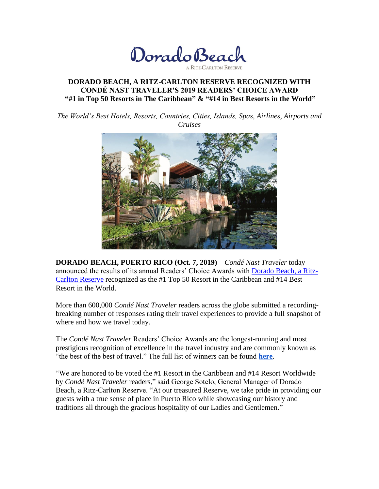Dorado Beach

# **DORADO BEACH, A RITZ-CARLTON RESERVE RECOGNIZED WITH CONDÉ NAST TRAVELER'S 2019 READERS' CHOICE AWARD "#1 in Top 50 Resorts in The Caribbean" & "#14 in Best Resorts in the World"**

*The World's Best Hotels, Resorts, Countries, Cities, Islands, Spas, Airlines, Airports and Cruises*



**DORADO BEACH, PUERTO RICO (Oct. 7, 2019)** – *Condé Nast Traveler* today announced the results of its annual Readers' Choice Awards with [Dorado Beach, a Ritz-](https://www.ritzcarlton.com/en/hotels/puerto-rico/dorado-beach)[Carlton Reserve](https://www.ritzcarlton.com/en/hotels/puerto-rico/dorado-beach) recognized as the #1 Top 50 Resort in the Caribbean and #14 Best Resort in the World.

More than 600,000 *Condé Nast Traveler* readers across the globe submitted a recordingbreaking number of responses rating their travel experiences to provide a full snapshot of where and how we travel today.

The *Condé Nast Traveler* Readers' Choice Awards are the longest-running and most prestigious recognition of excellence in the travel industry and are commonly known as "the best of the best of travel." The full list of winners can be found **[here](http://www.cntraveler.com/rca)**.

"We are honored to be voted the #1 Resort in the Caribbean and #14 Resort Worldwide by *Condé Nast Traveler* readers," said George Sotelo, General Manager of Dorado Beach, a Ritz-Carlton Reserve. "At our treasured Reserve, we take pride in providing our guests with a true sense of place in Puerto Rico while showcasing our history and traditions all through the gracious hospitality of our Ladies and Gentlemen."